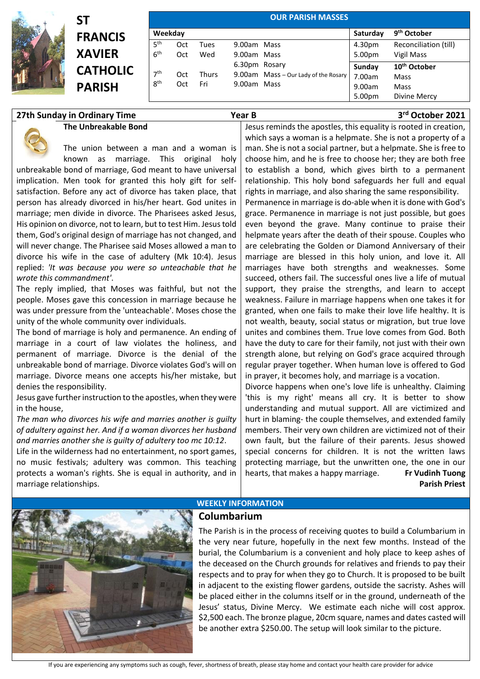

## **ST FRANCIS XAVIER CATHOL PARISH**

**The Unbreakable Bond**

|                 |         |       |               | <b>OUR PARISH MASSES</b>             |          |                          |
|-----------------|---------|-------|---------------|--------------------------------------|----------|--------------------------|
|                 | Weekday |       |               |                                      | Saturday | 9 <sup>th</sup> October  |
| 5 <sup>th</sup> | Oct     | Tues  | 9.00am Mass   |                                      | 4.30pm   | Reconciliation (till)    |
| 6 <sup>th</sup> | Oct     | Wed   | 9.00am Mass   |                                      | 5.00pm   | Vigil Mass               |
|                 |         |       | 6.30pm Rosary |                                      | Sunday   | 10 <sup>th</sup> October |
| 7 <sup>th</sup> | Oct     | Thurs |               | 9.00am Mass - Our Lady of the Rosary | 7.00am   | Mass                     |
| 8 <sup>th</sup> | Oct     | Fri   | 9.00am Mass   |                                      | 9.00am   | Mass                     |
|                 |         |       |               |                                      | 5.00pm   | Divine Mercy             |

## **27th Sunday in Ordinary Time Year B 3**

**rd October 2021**

The union between a man and a woman is known as marriage. This original holy unbreakable bond of marriage, God meant to have universal implication. Men took for granted this holy gift for selfsatisfaction. Before any act of divorce has taken place, that person has already divorced in his/her heart. God unites in marriage; men divide in divorce. The Pharisees asked Jesus, His opinion on divorce, not to learn, but to test Him. Jesus told them, God's original design of marriage has not changed, and will never change. The Pharisee said Moses allowed a man to divorce his wife in the case of adultery (Mk 10:4). Jesus replied: *'It was because you were so unteachable that he wrote this commandment'*.

The reply implied, that Moses was faithful, but not the people. Moses gave this concession in marriage because he was under pressure from the 'unteachable'. Moses chose the unity of the whole community over individuals.

The bond of marriage is holy and permanence. An ending of marriage in a court of law violates the holiness, and permanent of marriage. Divorce is the denial of the unbreakable bond of marriage. Divorce violates God's will on marriage. Divorce means one accepts his/her mistake, but denies the responsibility.

Jesus gave further instruction to the apostles, when they were in the house,

*The man who divorces his wife and marries another is guilty of adultery against her. And if a woman divorces her husband and marries another she is guilty of adultery too mc 10:12*.

Life in the wilderness had no entertainment, no sport games, no music festivals; adultery was common. This teaching protects a woman's rights. She is equal in authority, and in marriage relationships.

Jesus reminds the apostles, this equality is rooted in creation, which says a woman is a helpmate. She is not a property of a man. She is not a social partner, but a helpmate. She is free to choose him, and he is free to choose her; they are both free to establish a bond, which gives birth to a permanent relationship. This holy bond safeguards her full and equal rights in marriage, and also sharing the same responsibility. Permanence in marriage is do-able when it is done with God's grace. Permanence in marriage is not just possible, but goes even beyond the grave. Many continue to praise their

helpmate years after the death of their spouse. Couples who are celebrating the Golden or Diamond Anniversary of their marriage are blessed in this holy union, and love it. All marriages have both strengths and weaknesses. Some succeed, others fail. The successful ones live a life of mutual support, they praise the strengths, and learn to accept weakness. Failure in marriage happens when one takes it for granted, when one fails to make their love life healthy. It is not wealth, beauty, social status or migration, but true love unites and combines them. True love comes from God. Both have the duty to care for their family, not just with their own strength alone, but relying on God's grace acquired through regular prayer together. When human love is offered to God in prayer, it becomes holy, and marriage is a vocation.

Divorce happens when one's love life is unhealthy. Claiming 'this is my right' means all cry. It is better to show understanding and mutual support. All are victimized and hurt in blaming- the couple themselves, and extended family members. Their very own children are victimized not of their own fault, but the failure of their parents. Jesus showed special concerns for children. It is not the written laws protecting marriage, but the unwritten one, the one in our hearts, that makes a happy marriage. **Fr Vudinh Tuong Parish Priest**



## **WEEKLY INFORMATION**

## **Columbarium**

The Parish is in the process of receiving quotes to build a Columbarium in the very near future, hopefully in the next few months. Instead of the burial, the Columbarium is a convenient and holy place to keep ashes of the deceased on the Church grounds for relatives and friends to pay their respects and to pray for when they go to Church. It is proposed to be built in adjacent to the existing flower gardens, outside the sacristy. Ashes will be placed either in the columns itself or in the ground, underneath of the Jesus' status, Divine Mercy. We estimate each niche will cost approx. \$2,500 each. The bronze plague, 20cm square, names and dates casted will be another extra \$250.00. The setup will look similar to the picture.